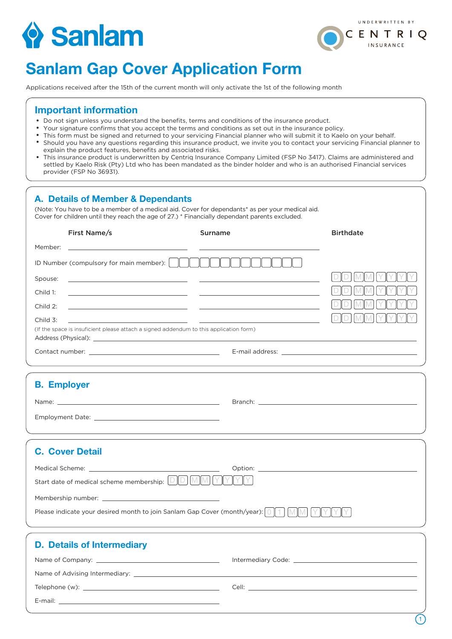# Sanlam



# Sanlam Gap Cover Application Form

Applications received after the 15th of the current month will only activate the 1st of the following month

### Important information

- Do not sign unless you understand the benefits, terms and conditions of the insurance product.
- Your signature confirms that you accept the terms and conditions as set out in the insurance policy.
- This form must be signed and returned to your servicing Financial planner who will submit it to Kaelo on your behalf.
- Should you have any questions regarding this insurance product, we invite you to contact your servicing Financial planner to explain the product features, benefits and associated risks.
- This insurance product is underwritten by Centriq Insurance Company Limited (FSP No 3417). Claims are administered and settled by Kaelo Risk (Pty) Ltd who has been mandated as the binder holder and who is an authorised Financial services provider (FSP No 36931).

| A. Details of Member & Dependants<br>(Note: You have to be a member of a medical aid. Cover for dependants* as per your medical aid.<br>Cover for children until they reach the age of 27.) * Financially dependant parents excluded. |                                                                                                                       |                  |
|---------------------------------------------------------------------------------------------------------------------------------------------------------------------------------------------------------------------------------------|-----------------------------------------------------------------------------------------------------------------------|------------------|
| First Name/s                                                                                                                                                                                                                          | <b>Surname</b>                                                                                                        | <b>Birthdate</b> |
| Member:                                                                                                                                                                                                                               |                                                                                                                       |                  |
| ID Number (compulsory for main member): $\begin{bmatrix} \parallel & \parallel \end{bmatrix}$                                                                                                                                         |                                                                                                                       |                  |
| Spouse:<br><u> 1989 - Johann Barbara, martxa alemaniar a</u>                                                                                                                                                                          |                                                                                                                       |                  |
| Child 1:                                                                                                                                                                                                                              | <u> 1989 - Andrea Santa Alemania, amerikana popularna popularna popularna popularna popularna popularna popularna</u> |                  |
| Child 2:                                                                                                                                                                                                                              | <u> 1989 - Johann Stoff, fransk politik (f. 1989)</u>                                                                 |                  |
| Child 3:                                                                                                                                                                                                                              |                                                                                                                       |                  |
| (If the space is insuficient please attach a signed addendum to this application form)                                                                                                                                                |                                                                                                                       |                  |
|                                                                                                                                                                                                                                       |                                                                                                                       |                  |
|                                                                                                                                                                                                                                       |                                                                                                                       |                  |
| <b>B. Employer</b>                                                                                                                                                                                                                    |                                                                                                                       |                  |
|                                                                                                                                                                                                                                       |                                                                                                                       |                  |
|                                                                                                                                                                                                                                       |                                                                                                                       |                  |
|                                                                                                                                                                                                                                       |                                                                                                                       |                  |
| <b>C. Cover Detail</b>                                                                                                                                                                                                                |                                                                                                                       |                  |
|                                                                                                                                                                                                                                       |                                                                                                                       |                  |
|                                                                                                                                                                                                                                       |                                                                                                                       |                  |
|                                                                                                                                                                                                                                       |                                                                                                                       |                  |
| Please indicate your desired month to join Sanlam Gap Cover (month/year): 0   1                                                                                                                                                       |                                                                                                                       |                  |
| <b>D. Details of Intermediary</b>                                                                                                                                                                                                     |                                                                                                                       |                  |
|                                                                                                                                                                                                                                       |                                                                                                                       |                  |
| Name of Advising Intermediary: _                                                                                                                                                                                                      |                                                                                                                       |                  |

Telephone (w): Cell:

E-mail:  $\overline{\phantom{a}}$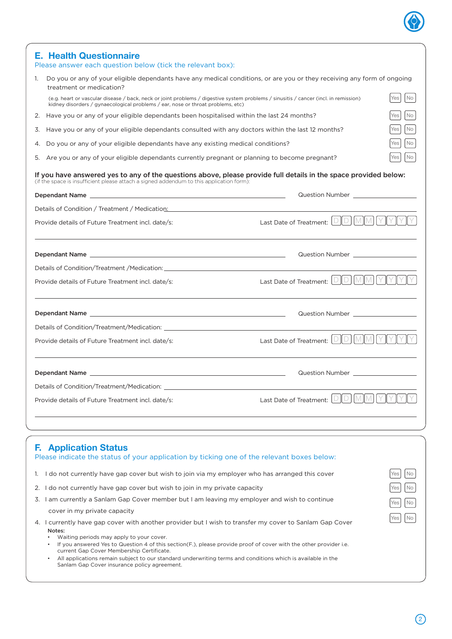|          | <b>Health Questionnaire</b><br>Please answer each question below (tick the relevant box):                                                                                                                                                                                                                                                                                                                                                                                                                                                                                                                                                                                                                                                                                                                                                                                                                                                                  |                                                                                                                                                                                                                                                                                                                                                                                  |                                     |  |  |
|----------|------------------------------------------------------------------------------------------------------------------------------------------------------------------------------------------------------------------------------------------------------------------------------------------------------------------------------------------------------------------------------------------------------------------------------------------------------------------------------------------------------------------------------------------------------------------------------------------------------------------------------------------------------------------------------------------------------------------------------------------------------------------------------------------------------------------------------------------------------------------------------------------------------------------------------------------------------------|----------------------------------------------------------------------------------------------------------------------------------------------------------------------------------------------------------------------------------------------------------------------------------------------------------------------------------------------------------------------------------|-------------------------------------|--|--|
| 1.       | Do you or any of your eligible dependants have any medical conditions, or are you or they receiving any form of ongoing<br>treatment or medication?                                                                                                                                                                                                                                                                                                                                                                                                                                                                                                                                                                                                                                                                                                                                                                                                        |                                                                                                                                                                                                                                                                                                                                                                                  |                                     |  |  |
|          | No<br>Yes<br>(e.g. heart or vascular disease / back, neck or joint problems / digestive system problems / sinusitis / cancer (incl. in remission)<br>kidney disorders / gynaecological problems / ear, nose or throat problems, etc)                                                                                                                                                                                                                                                                                                                                                                                                                                                                                                                                                                                                                                                                                                                       |                                                                                                                                                                                                                                                                                                                                                                                  |                                     |  |  |
| 2.       | Have you or any of your eligible dependants been hospitalised within the last 24 months?<br>Yes                                                                                                                                                                                                                                                                                                                                                                                                                                                                                                                                                                                                                                                                                                                                                                                                                                                            |                                                                                                                                                                                                                                                                                                                                                                                  |                                     |  |  |
| 3.       | Have you or any of your eligible dependants consulted with any doctors within the last 12 months?                                                                                                                                                                                                                                                                                                                                                                                                                                                                                                                                                                                                                                                                                                                                                                                                                                                          |                                                                                                                                                                                                                                                                                                                                                                                  | No<br>Yes                           |  |  |
| 4.       | Do you or any of your eligible dependants have any existing medical conditions?<br>No<br>Yes                                                                                                                                                                                                                                                                                                                                                                                                                                                                                                                                                                                                                                                                                                                                                                                                                                                               |                                                                                                                                                                                                                                                                                                                                                                                  |                                     |  |  |
| 5.       | No.<br>Are you or any of your eligible dependants currently pregnant or planning to become pregnant?<br>Yes                                                                                                                                                                                                                                                                                                                                                                                                                                                                                                                                                                                                                                                                                                                                                                                                                                                |                                                                                                                                                                                                                                                                                                                                                                                  |                                     |  |  |
|          | If you have answered yes to any of the questions above, please provide full details in the space provided below:<br>(if the space is insufficient please attach a signed addendum to this application form):                                                                                                                                                                                                                                                                                                                                                                                                                                                                                                                                                                                                                                                                                                                                               |                                                                                                                                                                                                                                                                                                                                                                                  |                                     |  |  |
|          |                                                                                                                                                                                                                                                                                                                                                                                                                                                                                                                                                                                                                                                                                                                                                                                                                                                                                                                                                            | Question Number <b>Question</b> Number                                                                                                                                                                                                                                                                                                                                           |                                     |  |  |
|          | Details of Condition / Treatment / Medication: New York 2014 19:30 19:40 19:40 19:40                                                                                                                                                                                                                                                                                                                                                                                                                                                                                                                                                                                                                                                                                                                                                                                                                                                                       |                                                                                                                                                                                                                                                                                                                                                                                  |                                     |  |  |
|          | Provide details of Future Treatment incl. date/s:                                                                                                                                                                                                                                                                                                                                                                                                                                                                                                                                                                                                                                                                                                                                                                                                                                                                                                          | Last Date of Treatment: <b>DIDIMM</b> YTYYY                                                                                                                                                                                                                                                                                                                                      |                                     |  |  |
|          |                                                                                                                                                                                                                                                                                                                                                                                                                                                                                                                                                                                                                                                                                                                                                                                                                                                                                                                                                            |                                                                                                                                                                                                                                                                                                                                                                                  |                                     |  |  |
|          | Details of Condition/Treatment /Medication: Letter and the condition of the condition of the condition of the condition of the condition of the condition of the condition of the condition of the condition of the condition                                                                                                                                                                                                                                                                                                                                                                                                                                                                                                                                                                                                                                                                                                                              |                                                                                                                                                                                                                                                                                                                                                                                  |                                     |  |  |
|          | Provide details of Future Treatment incl. date/s:                                                                                                                                                                                                                                                                                                                                                                                                                                                                                                                                                                                                                                                                                                                                                                                                                                                                                                          | Last Date of Treatment: $\left[\begin{array}{c c} \Box \end{array}\right] \left[\begin{array}{c c} \Box \end{array}\right] \left[\begin{array}{c c} \Box \end{array}\right] \left[\begin{array}{c c} \Box \end{array}\right] \left[\begin{array}{c c} \Box \end{array}\right] \left[\begin{array}{c c} \Box \end{array}\right] \left[\begin{array}{c c} \Box \end{array}\right]$ |                                     |  |  |
|          |                                                                                                                                                                                                                                                                                                                                                                                                                                                                                                                                                                                                                                                                                                                                                                                                                                                                                                                                                            |                                                                                                                                                                                                                                                                                                                                                                                  |                                     |  |  |
|          | Details of Condition/Treatment/Medication: Letters and the conditional properties of Condition/Treatment/Medication:                                                                                                                                                                                                                                                                                                                                                                                                                                                                                                                                                                                                                                                                                                                                                                                                                                       |                                                                                                                                                                                                                                                                                                                                                                                  |                                     |  |  |
|          | Provide details of Future Treatment incl. date/s:                                                                                                                                                                                                                                                                                                                                                                                                                                                                                                                                                                                                                                                                                                                                                                                                                                                                                                          | Last Date of Treatment: DDMMYYYY                                                                                                                                                                                                                                                                                                                                                 |                                     |  |  |
|          | Dependant Name Law and Contract and Contract and Contract and Contract and Contract and Contract and Contract and                                                                                                                                                                                                                                                                                                                                                                                                                                                                                                                                                                                                                                                                                                                                                                                                                                          |                                                                                                                                                                                                                                                                                                                                                                                  |                                     |  |  |
|          | Details of Condition/Treatment/Medication:                                                                                                                                                                                                                                                                                                                                                                                                                                                                                                                                                                                                                                                                                                                                                                                                                                                                                                                 |                                                                                                                                                                                                                                                                                                                                                                                  |                                     |  |  |
|          | Provide details of Future Treatment incl. date/s:                                                                                                                                                                                                                                                                                                                                                                                                                                                                                                                                                                                                                                                                                                                                                                                                                                                                                                          | D<br>Last Date of Treatment:                                                                                                                                                                                                                                                                                                                                                     |                                     |  |  |
| Е.<br>1. | <b>Application Status</b><br>Please indicate the status of your application by ticking one of the relevant boxes below:<br>I do not currently have gap cover but wish to join via my employer who has arranged this cover<br>2. I do not currently have gap cover but wish to join in my private capacity<br>3. I am currently a Sanlam Gap Cover member but I am leaving my employer and wish to continue<br>cover in my private capacity<br>4. I currently have gap cover with another provider but I wish to transfer my cover to Sanlam Gap Cover<br>Notes:<br>Waiting periods may apply to your cover.<br>$\bullet$<br>If you answered Yes to Question 4 of this section (F.), please provide proof of cover with the other provider i.e.<br>current Gap Cover Membership Certificate.<br>All applications remain subject to our standard underwriting terms and conditions which is available in the<br>Sanlam Gap Cover insurance policy agreement. |                                                                                                                                                                                                                                                                                                                                                                                  | No<br>Yes<br>No<br>No.<br><b>No</b> |  |  |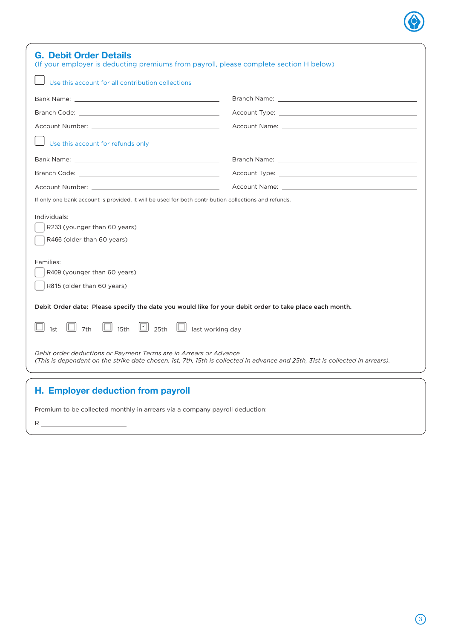| <b>G. Debit Order Details</b><br>(If your employer is deducting premiums from payroll, please complete section H below)                                                                                                        |                                                                                                                                                                                                                                |
|--------------------------------------------------------------------------------------------------------------------------------------------------------------------------------------------------------------------------------|--------------------------------------------------------------------------------------------------------------------------------------------------------------------------------------------------------------------------------|
| Use this account for all contribution collections                                                                                                                                                                              |                                                                                                                                                                                                                                |
|                                                                                                                                                                                                                                |                                                                                                                                                                                                                                |
| Branch Code: with the contract of the contract of the contract of the contract of the contract of the contract of the contract of the contract of the contract of the contract of the contract of the contract of the contract |                                                                                                                                                                                                                                |
|                                                                                                                                                                                                                                | Account Name: The contract of the contract of the contract of the contract of the contract of the contract of the contract of the contract of the contract of the contract of the contract of the contract of the contract of  |
| Use this account for refunds only                                                                                                                                                                                              |                                                                                                                                                                                                                                |
|                                                                                                                                                                                                                                |                                                                                                                                                                                                                                |
|                                                                                                                                                                                                                                | Account Type: New York Structure and Structure and Structure and Structure and Structure and Structure and Structure and Structure and Structure and Structure and Structure and Structure and Structure and Structure and Str |
| Account Number: We have a series of the series of the series of the series of the series of the series of the series of the series of the series of the series of the series of the series of the series of the series of the  |                                                                                                                                                                                                                                |
| If only one bank account is provided, it will be used for both contribution collections and refunds.<br>Individuals:<br>R233 (younger than 60 years)<br>R466 (older than 60 years)                                             |                                                                                                                                                                                                                                |
| Families:<br>R409 (younger than 60 years)<br>R815 (older than 60 years)                                                                                                                                                        |                                                                                                                                                                                                                                |
| Debit Order date: Please specify the date you would like for your debit order to take place each month.                                                                                                                        |                                                                                                                                                                                                                                |
| $\boxed{7}$ 25th $\boxed{ }$<br>IL II<br>7th<br>15th<br>last working day                                                                                                                                                       |                                                                                                                                                                                                                                |
| Debit order deductions or Payment Terms are in Arrears or Advance<br>(This is dependent on the strike date chosen. 1st, 7th, 15th is collected in advance and 25th, 31st is collected in arrears).                             |                                                                                                                                                                                                                                |
| H. Employer deduction from payroll                                                                                                                                                                                             |                                                                                                                                                                                                                                |

Premium to be collected monthly in arrears via a company payroll deduction:

 $\overline{\phantom{a}}$ 

R